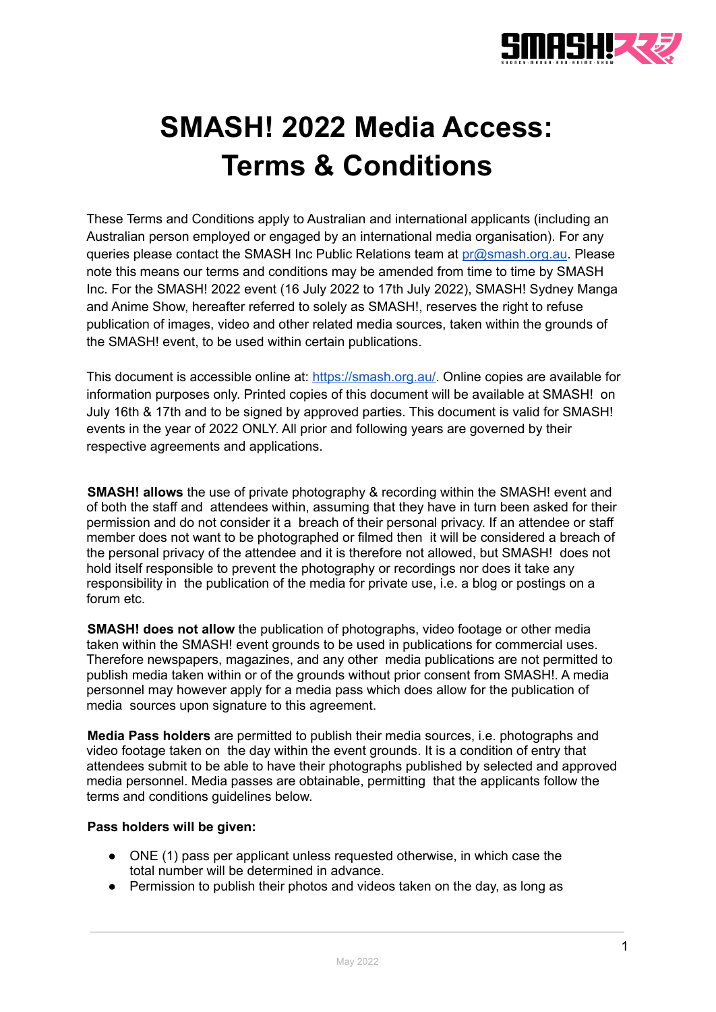

## **SMASH! 2022 Media Access: Terms & Conditions**

These Terms and Conditions apply to Australian and international applicants (including an Australian person employed or engaged by an international media organisation). For any queries please contact the SMASH Inc Public Relations team at [pr@smash.org.au](mailto:pr@smash.org.au). Please note this means our terms and conditions may be amended from time to time by SMASH Inc. For the SMASH! 2022 event (16 July 2022 to 17th July 2022), SMASH! Sydney Manga and Anime Show, hereafter referred to solely as SMASH!, reserves the right to refuse publication of images, video and other related media sources, taken within the grounds of the SMASH! event, to be used within certain publications.

This document is accessible online at: [https://smash.org.au/.](https://smash.org.au/) Online copies are available for information purposes only. Printed copies of this document will be available at SMASH! on July 16th & 17th and to be signed by approved parties. This document is valid for SMASH! events in the year of 2022 ONLY. All prior and following years are governed by their respective agreements and applications.

**SMASH! allows** the use of private photography & recording within the SMASH! event and of both the staff and attendees within, assuming that they have in turn been asked for their permission and do not consider it a breach of their personal privacy. If an attendee or staff member does not want to be photographed or filmed then it will be considered a breach of the personal privacy of the attendee and it is therefore not allowed, but SMASH! does not hold itself responsible to prevent the photography or recordings nor does it take any responsibility in the publication of the media for private use, i.e. a blog or postings on a forum etc.

**SMASH! does not allow** the publication of photographs, video footage or other media taken within the SMASH! event grounds to be used in publications for commercial uses. Therefore newspapers, magazines, and any other media publications are not permitted to publish media taken within or of the grounds without prior consent from SMASH!. A media personnel may however apply for a media pass which does allow for the publication of media sources upon signature to this agreement.

**Media Pass holders** are permitted to publish their media sources, i.e. photographs and video footage taken on the day within the event grounds. It is a condition of entry that attendees submit to be able to have their photographs published by selected and approved media personnel. Media passes are obtainable, permitting that the applicants follow the terms and conditions guidelines below.

## **Pass holders will be given:**

- ONE (1) pass per applicant unless requested otherwise, in which case the total number will be determined in advance.
- Permission to publish their photos and videos taken on the day, as long as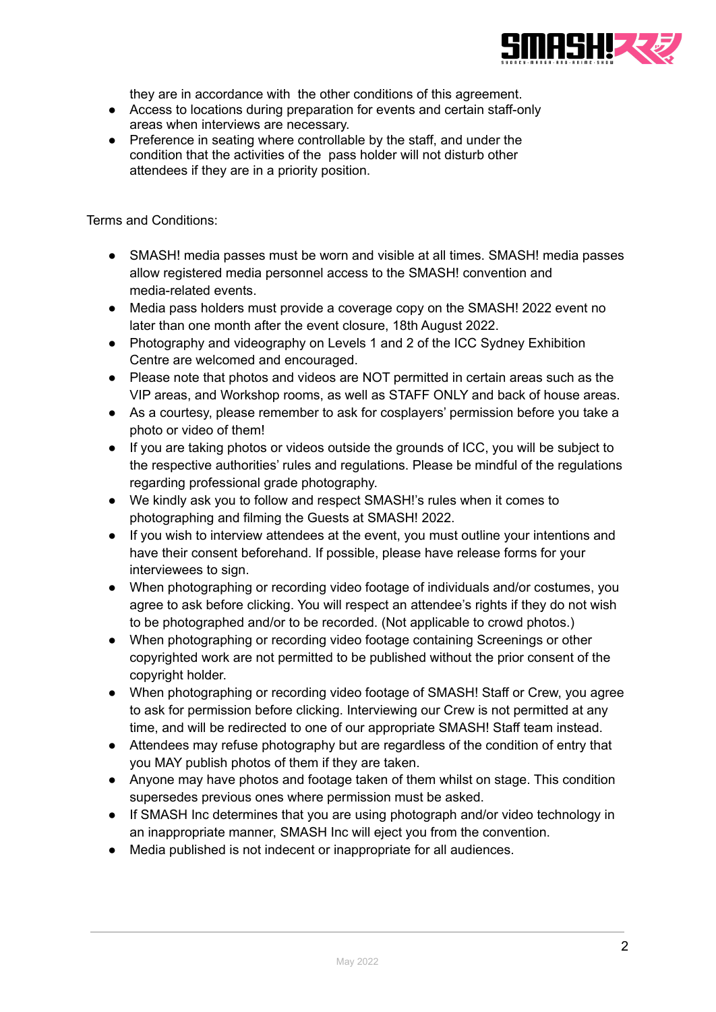

they are in accordance with the other conditions of this agreement.

- Access to locations during preparation for events and certain staff-only areas when interviews are necessary.
- Preference in seating where controllable by the staff, and under the condition that the activities of the pass holder will not disturb other attendees if they are in a priority position.

Terms and Conditions:

- SMASH! media passes must be worn and visible at all times. SMASH! media passes allow registered media personnel access to the SMASH! convention and media-related events.
- Media pass holders must provide a coverage copy on the SMASH! 2022 event no later than one month after the event closure, 18th August 2022.
- Photography and videography on Levels 1 and 2 of the ICC Sydney Exhibition Centre are welcomed and encouraged.
- Please note that photos and videos are NOT permitted in certain areas such as the VIP areas, and Workshop rooms, as well as STAFF ONLY and back of house areas.
- As a courtesy, please remember to ask for cosplayers' permission before you take a photo or video of them!
- If you are taking photos or videos outside the grounds of ICC, you will be subject to the respective authorities' rules and regulations. Please be mindful of the regulations regarding professional grade photography.
- We kindly ask you to follow and respect SMASH!'s rules when it comes to photographing and filming the Guests at SMASH! 2022.
- If you wish to interview attendees at the event, you must outline your intentions and have their consent beforehand. If possible, please have release forms for your interviewees to sign.
- When photographing or recording video footage of individuals and/or costumes, you agree to ask before clicking. You will respect an attendee's rights if they do not wish to be photographed and/or to be recorded. (Not applicable to crowd photos.)
- When photographing or recording video footage containing Screenings or other copyrighted work are not permitted to be published without the prior consent of the copyright holder.
- When photographing or recording video footage of SMASH! Staff or Crew, you agree to ask for permission before clicking. Interviewing our Crew is not permitted at any time, and will be redirected to one of our appropriate SMASH! Staff team instead.
- Attendees may refuse photography but are regardless of the condition of entry that you MAY publish photos of them if they are taken.
- Anyone may have photos and footage taken of them whilst on stage. This condition supersedes previous ones where permission must be asked.
- If SMASH Inc determines that you are using photograph and/or video technology in an inappropriate manner, SMASH Inc will eject you from the convention.
- Media published is not indecent or inappropriate for all audiences.